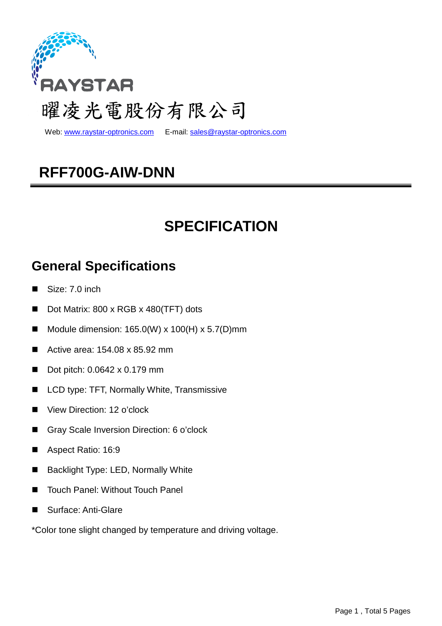

Web: www.raystar-optronics.com E-mail: sales@raystar-optronics.com

## **RFF700G-AIW-DNN**

## **SPECIFICATION**

### **General Specifications**

- Size: 7.0 inch
- Dot Matrix: 800 x RGB x 480(TFT) dots
- Module dimension: 165.0(W) x 100(H) x 5.7(D)mm
- Active area: 154.08 x 85.92 mm
- Dot pitch: 0.0642 x 0.179 mm
- LCD type: TFT, Normally White, Transmissive
- View Direction: 12 o'clock
- Gray Scale Inversion Direction: 6 o'clock
- Aspect Ratio: 16:9
- **Backlight Type: LED, Normally White**
- Touch Panel: Without Touch Panel
- Surface: Anti-Glare

\*Color tone slight changed by temperature and driving voltage.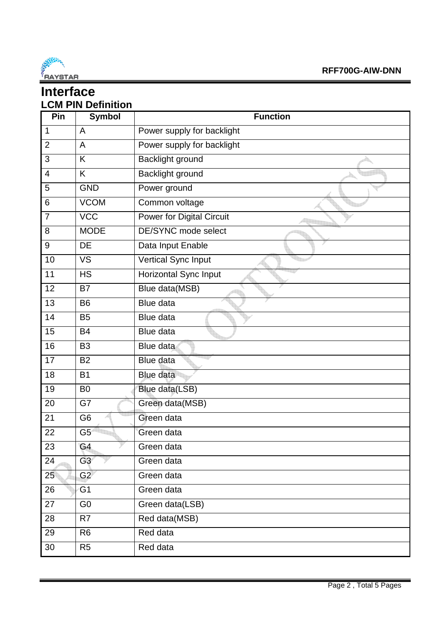

### **Interface LCM PIN Definition**

| Pin            | <b>Symbol</b>  | <b>Function</b>                  |  |  |  |
|----------------|----------------|----------------------------------|--|--|--|
| 1              | A              | Power supply for backlight       |  |  |  |
| $\overline{2}$ | A              | Power supply for backlight       |  |  |  |
| 3              | K              | <b>Backlight ground</b>          |  |  |  |
| $\overline{4}$ | K              | Backlight ground                 |  |  |  |
| 5              | <b>GND</b>     | Power ground                     |  |  |  |
| 6              | <b>VCOM</b>    | Common voltage                   |  |  |  |
| $\overline{7}$ | <b>VCC</b>     | <b>Power for Digital Circuit</b> |  |  |  |
| 8              | <b>MODE</b>    | DE/SYNC mode select              |  |  |  |
| 9              | <b>DE</b>      | Data Input Enable                |  |  |  |
| 10             | <b>VS</b>      | Vertical Sync Input              |  |  |  |
| 11             | <b>HS</b>      | <b>Horizontal Sync Input</b>     |  |  |  |
| 12             | <b>B7</b>      | Blue data(MSB)                   |  |  |  |
| 13             | <b>B6</b>      | <b>Blue data</b>                 |  |  |  |
| 14             | <b>B5</b>      | <b>Blue data</b>                 |  |  |  |
| 15             | <b>B4</b>      | <b>Blue data</b>                 |  |  |  |
| 16             | <b>B3</b>      | Blue data                        |  |  |  |
| 17             | <b>B2</b>      | Blue data                        |  |  |  |
| 18             | <b>B1</b>      | <b>Blue data</b>                 |  |  |  |
| 19             | B <sub>0</sub> | Blue data(LSB)                   |  |  |  |
| 20             | G7             | Green data(MSB)                  |  |  |  |
| 21             | G <sub>6</sub> | Green data                       |  |  |  |
| 22             | G5             | Green data                       |  |  |  |
| 23             | G4             | Green data                       |  |  |  |
| 24             | G3             | Green data                       |  |  |  |
| 25             | G2             | Green data                       |  |  |  |
| 26             | G <sub>1</sub> | Green data                       |  |  |  |
| 27             | G <sub>0</sub> | Green data(LSB)                  |  |  |  |
| 28             | R7             | Red data(MSB)                    |  |  |  |
| 29             | R <sub>6</sub> | Red data                         |  |  |  |
| 30             | R <sub>5</sub> | Red data                         |  |  |  |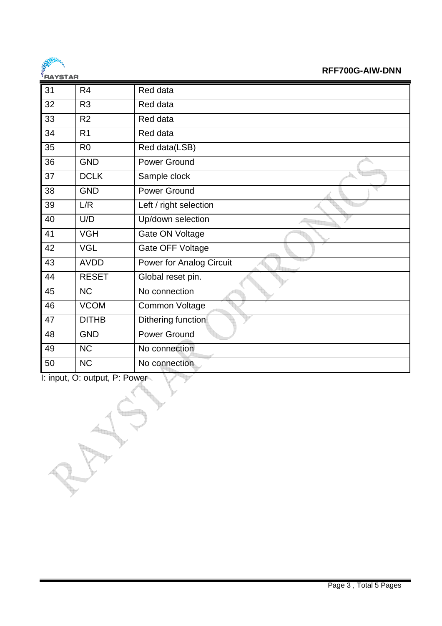

#### **RFF700G-AIW-DNN**

|    | <u>.</u>       |                                 |
|----|----------------|---------------------------------|
| 31 | R <sub>4</sub> | Red data                        |
| 32 | R <sub>3</sub> | Red data                        |
| 33 | R2             | Red data                        |
| 34 | R <sub>1</sub> | Red data                        |
| 35 | R <sub>0</sub> | Red data(LSB)                   |
| 36 | <b>GND</b>     | <b>Power Ground</b>             |
| 37 | <b>DCLK</b>    | Sample clock                    |
| 38 | <b>GND</b>     | <b>Power Ground</b>             |
| 39 | L/R            | Left / right selection          |
| 40 | U/D            | Up/down selection               |
| 41 | <b>VGH</b>     | Gate ON Voltage                 |
| 42 | <b>VGL</b>     | Gate OFF Voltage                |
| 43 | <b>AVDD</b>    | <b>Power for Analog Circuit</b> |
| 44 | <b>RESET</b>   | Global reset pin.               |
| 45 | <b>NC</b>      | No connection                   |
| 46 | <b>VCOM</b>    | <b>Common Voltage</b>           |
| 47 | <b>DITHB</b>   | Dithering function              |
| 48 | <b>GND</b>     | <b>Power Ground</b>             |
| 49 | <b>NC</b>      | No connection                   |
| 50 | <b>NC</b>      | No connection                   |

I: input, O: output, P: Power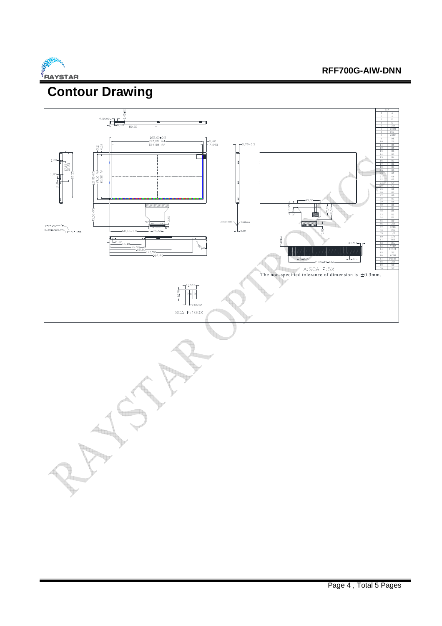

#### **RFF700G-AIW-DNN**

## **Contour Drawing**